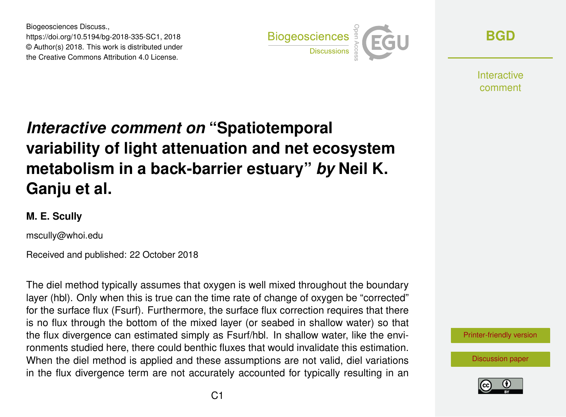Biogeosciences Discuss., https://doi.org/10.5194/bg-2018-335-SC1, 2018 © Author(s) 2018. This work is distributed under the Creative Commons Attribution 4.0 License.



**[BGD](https://www.biogeosciences-discuss.net/)**

**Interactive** comment

## *Interactive comment on* **"Spatiotemporal variability of light attenuation and net ecosystem metabolism in a back-barrier estuary"** *by* **Neil K. Ganju et al.**

## **M. E. Scully**

mscully@whoi.edu

Received and published: 22 October 2018

The diel method typically assumes that oxygen is well mixed throughout the boundary layer (hbl). Only when this is true can the time rate of change of oxygen be "corrected" for the surface flux (Fsurf). Furthermore, the surface flux correction requires that there is no flux through the bottom of the mixed layer (or seabed in shallow water) so that the flux divergence can estimated simply as Fsurf/hbl. In shallow water, like the environments studied here, there could benthic fluxes that would invalidate this estimation. When the diel method is applied and these assumptions are not valid, diel variations in the flux divergence term are not accurately accounted for typically resulting in an



[Discussion paper](https://www.biogeosciences-discuss.net/bg-2018-335)